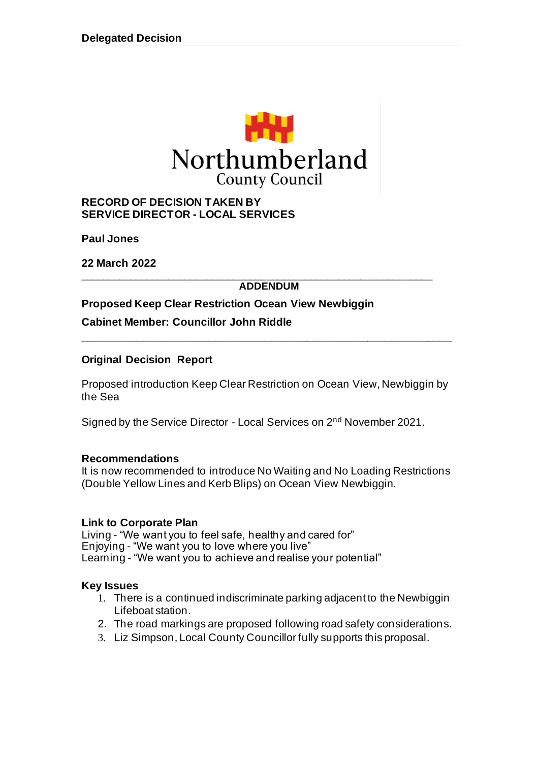

#### **RECORD OF DECISION TAKEN BY SERVICE DIRECTOR - LOCAL SERVICES**

**Paul Jones**

**22 March 2022**

#### \_\_\_\_\_\_\_\_\_\_\_\_\_\_\_\_\_\_\_\_\_\_\_\_\_\_\_\_\_\_\_\_\_\_\_\_\_\_\_\_\_\_\_\_\_\_\_\_\_\_\_\_\_\_\_\_\_\_\_\_\_\_\_\_ **ADDENDUM**

**Proposed Keep Clear Restriction Ocean View Newbiggin**

**Cabinet Member: Councillor John Riddle**

### **Original Decision Report**

Proposed introduction Keep Clear Restriction on Ocean View, Newbiggin by the Sea

\_\_\_\_\_\_\_\_\_\_\_\_\_\_\_\_\_\_\_\_\_\_\_\_\_\_\_\_\_\_\_\_\_\_\_\_\_\_\_\_\_\_\_\_\_\_\_\_\_\_\_\_\_\_\_\_\_\_\_\_\_

Signed by the Service Director - Local Services on 2nd November 2021.

#### **Recommendations**

It is now recommended to introduce No Waiting and No Loading Restrictions (Double Yellow Lines and Kerb Blips) on Ocean View Newbiggin.

#### **Link to Corporate Plan**

Living - "We want you to feel safe, healthy and cared for" Enjoying - "We want you to love where you live" Learning - "We want you to achieve and realise your potential"

#### **Key Issues**

- 1. There is a continued indiscriminate parking adjacent to the Newbiggin Lifeboat station.
- 2. The road markings are proposed following road safety considerations.
- 3. Liz Simpson, Local County Councillor fully supports this proposal.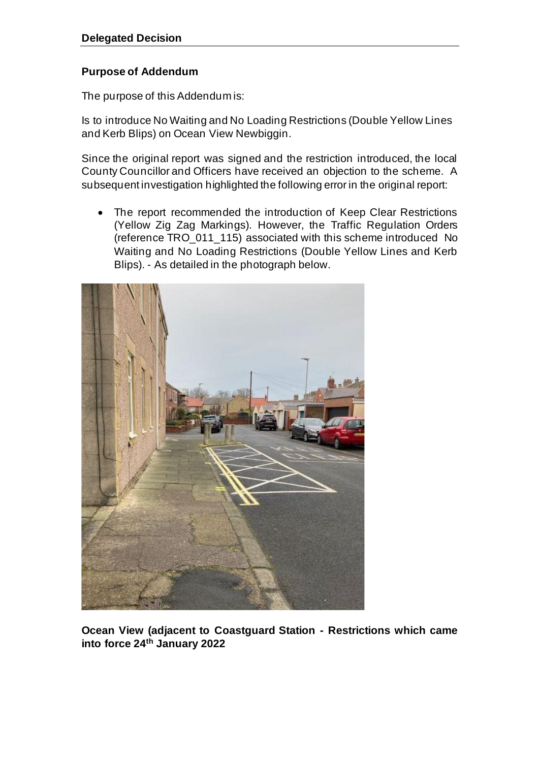## **Purpose of Addendum**

The purpose of this Addendum is:

Is to introduce No Waiting and No Loading Restrictions (Double Yellow Lines and Kerb Blips) on Ocean View Newbiggin.

Since the original report was signed and the restriction introduced, the local County Councillor and Officers have received an objection to the scheme. A subsequent investigation highlighted the following error in the original report:

• The report recommended the introduction of Keep Clear Restrictions (Yellow Zig Zag Markings). However, the Traffic Regulation Orders (reference TRO\_011\_115) associated with this scheme introduced No Waiting and No Loading Restrictions (Double Yellow Lines and Kerb Blips). - As detailed in the photograph below.



**Ocean View (adjacent to Coastguard Station - Restrictions which came into force 24th January 2022**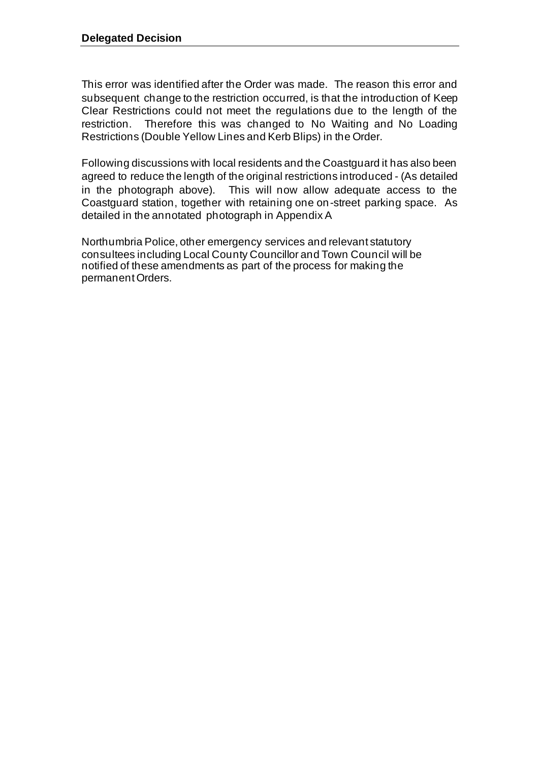This error was identified after the Order was made. The reason this error and subsequent change to the restriction occurred, is that the introduction of Keep Clear Restrictions could not meet the regulations due to the length of the restriction. Therefore this was changed to No Waiting and No Loading Restrictions (Double Yellow Lines and Kerb Blips) in the Order.

Following discussions with local residents and the Coastguard it has also been agreed to reduce the length of the original restrictions introduced - (As detailed in the photograph above). This will now allow adequate access to the Coastguard station, together with retaining one on-street parking space. As detailed in the annotated photograph in Appendix A

Northumbria Police, other emergency services and relevant statutory consultees including Local County Councillor and Town Council will be notified of these amendments as part of the process for making the permanent Orders.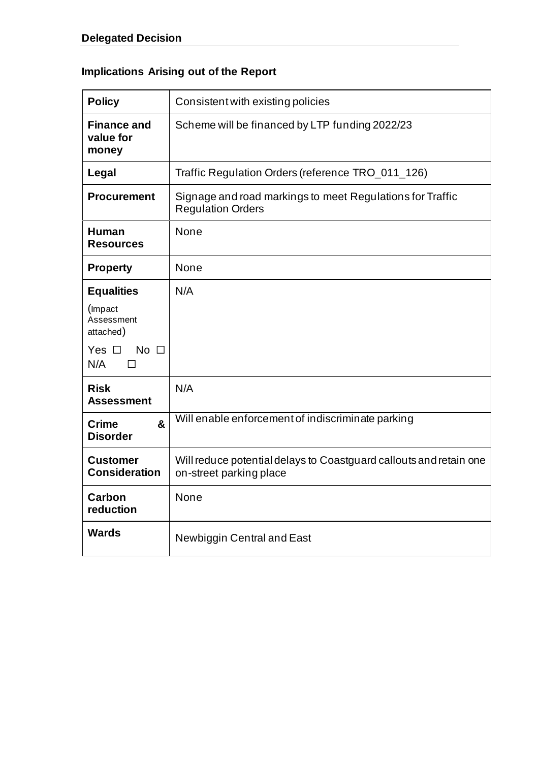# **Implications Arising out of the Report**

| <b>Policy</b>                                   | Consistent with existing policies                                                             |  |
|-------------------------------------------------|-----------------------------------------------------------------------------------------------|--|
| <b>Finance and</b><br>value for<br>money        | Scheme will be financed by LTP funding 2022/23                                                |  |
| Legal                                           | Traffic Regulation Orders (reference TRO_011_126)                                             |  |
| <b>Procurement</b>                              | Signage and road markings to meet Regulations for Traffic<br><b>Regulation Orders</b>         |  |
| <b>Human</b><br><b>Resources</b>                | None                                                                                          |  |
| <b>Property</b>                                 | None                                                                                          |  |
| <b>Equalities</b>                               | N/A                                                                                           |  |
| (Impact<br>Assessment<br>attached)              |                                                                                               |  |
| Yes $\Box$<br>No $\square$<br>N/A<br>П          |                                                                                               |  |
| <b>Risk</b><br><b>Assessment</b>                | N/A                                                                                           |  |
| $\mathbf{a}$<br><b>Crime</b><br><b>Disorder</b> | Will enable enforcement of indiscriminate parking                                             |  |
| <b>Customer</b><br><b>Consideration</b>         | Will reduce potential delays to Coastguard callouts and retain one<br>on-street parking place |  |
| Carbon<br>reduction                             | None                                                                                          |  |
| <b>Wards</b>                                    | Newbiggin Central and East                                                                    |  |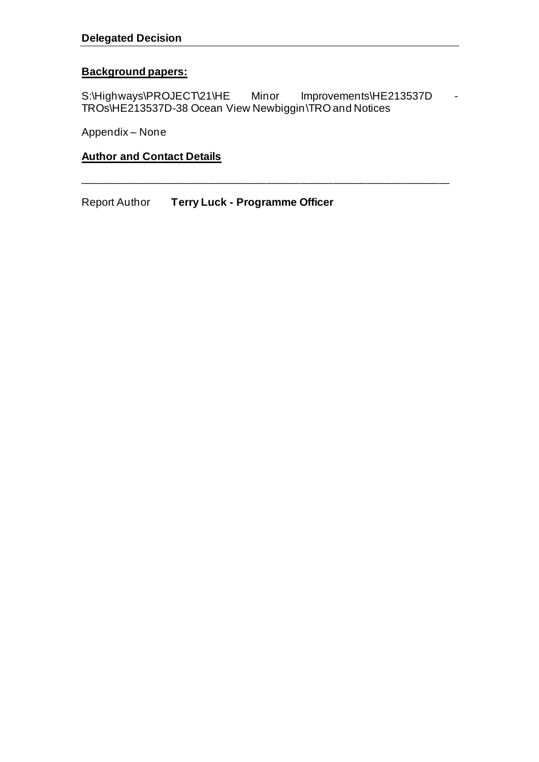### **Background papers:**

S:\Highways\PROJECT\21\HE Minor Improvements\HE213537D TROs\HE213537D-38 Ocean View Newbiggin\TRO and Notices

\_\_\_\_\_\_\_\_\_\_\_\_\_\_\_\_\_\_\_\_\_\_\_\_\_\_\_\_\_\_\_\_\_\_\_\_\_\_\_\_\_\_\_\_\_\_\_\_\_\_\_\_\_\_\_\_\_\_\_\_\_\_\_\_\_\_\_

Appendix – None

# **Author and Contact Details**

Report Author **Terry Luck - Programme Officer**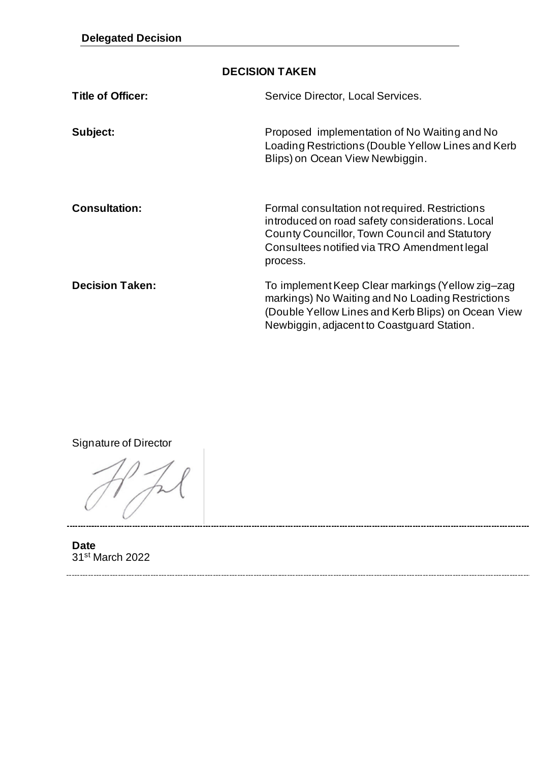## **DECISION TAKEN**

| <b>Title of Officer:</b> | Service Director, Local Services.                                                                                                                                                                             |
|--------------------------|---------------------------------------------------------------------------------------------------------------------------------------------------------------------------------------------------------------|
| Subject:                 | Proposed implementation of No Waiting and No<br>Loading Restrictions (Double Yellow Lines and Kerb<br>Blips) on Ocean View Newbiggin.                                                                         |
| <b>Consultation:</b>     | Formal consultation not required. Restrictions<br>introduced on road safety considerations. Local<br>County Councillor, Town Council and Statutory<br>Consultees notified via TRO Amendment legal<br>process. |
| <b>Decision Taken:</b>   | To implement Keep Clear markings (Yellow zig-zag<br>markings) No Waiting and No Loading Restrictions<br>(Double Yellow Lines and Kerb Blips) on Ocean View<br>Newbiggin, adjacent to Coastguard Station.      |

Signature of Director

**Date** 31st March 2022